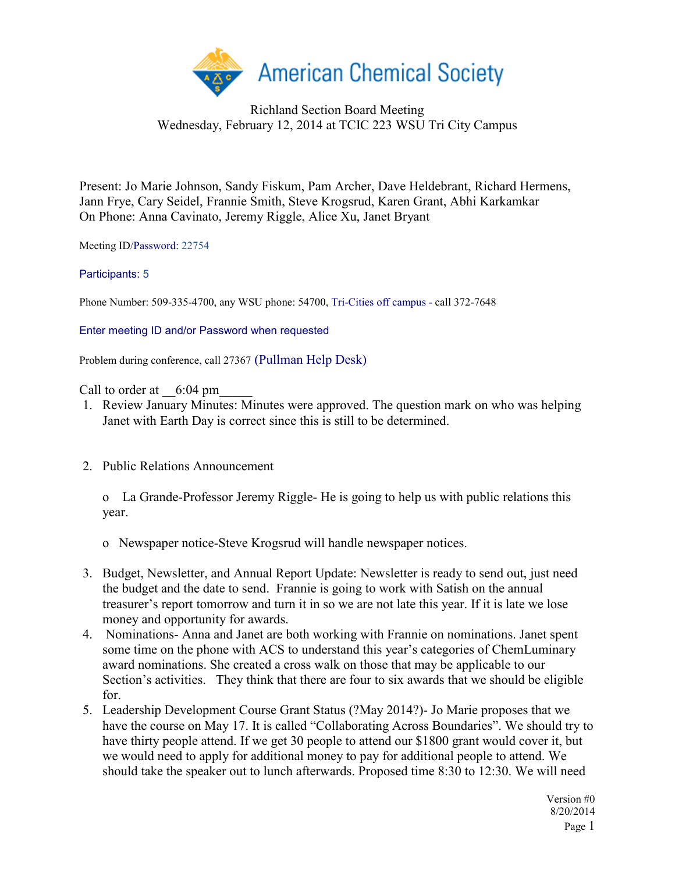

## Richland Section Board Meeting Wednesday, February 12, 2014 at TCIC 223 WSU Tri City Campus

Present: Jo Marie Johnson, Sandy Fiskum, Pam Archer, Dave Heldebrant, Richard Hermens, Jann Frye, Cary Seidel, Frannie Smith, Steve Krogsrud, Karen Grant, Abhi Karkamkar On Phone: Anna Cavinato, Jeremy Riggle, Alice Xu, Janet Bryant

Meeting ID/Password: 22754

## Participants: 5

Phone Number: 509-335-4700, any WSU phone: 54700, Tri-Cities off campus - call 372-7648

Enter meeting ID and/or Password when requested

Problem during conference, call 27367 (Pullman Help Desk)

Call to order at  $6:04 \text{ pm}$ 

- 1. Review January Minutes: Minutes were approved. The question mark on who was helping Janet with Earth Day is correct since this is still to be determined.
- 2. Public Relations Announcement

o La Grande-Professor Jeremy Riggle- He is going to help us with public relations this year.

- o Newspaper notice-Steve Krogsrud will handle newspaper notices.
- 3. Budget, Newsletter, and Annual Report Update: Newsletter is ready to send out, just need the budget and the date to send. Frannie is going to work with Satish on the annual treasurer's report tomorrow and turn it in so we are not late this year. If it is late we lose money and opportunity for awards.
- 4. Nominations- Anna and Janet are both working with Frannie on nominations. Janet spent some time on the phone with ACS to understand this year's categories of ChemLuminary award nominations. She created a cross walk on those that may be applicable to our Section's activities. They think that there are four to six awards that we should be eligible for.
- 5. Leadership Development Course Grant Status (?May 2014?)- Jo Marie proposes that we have the course on May 17. It is called "Collaborating Across Boundaries". We should try to have thirty people attend. If we get 30 people to attend our \$1800 grant would cover it, but we would need to apply for additional money to pay for additional people to attend. We should take the speaker out to lunch afterwards. Proposed time 8:30 to 12:30. We will need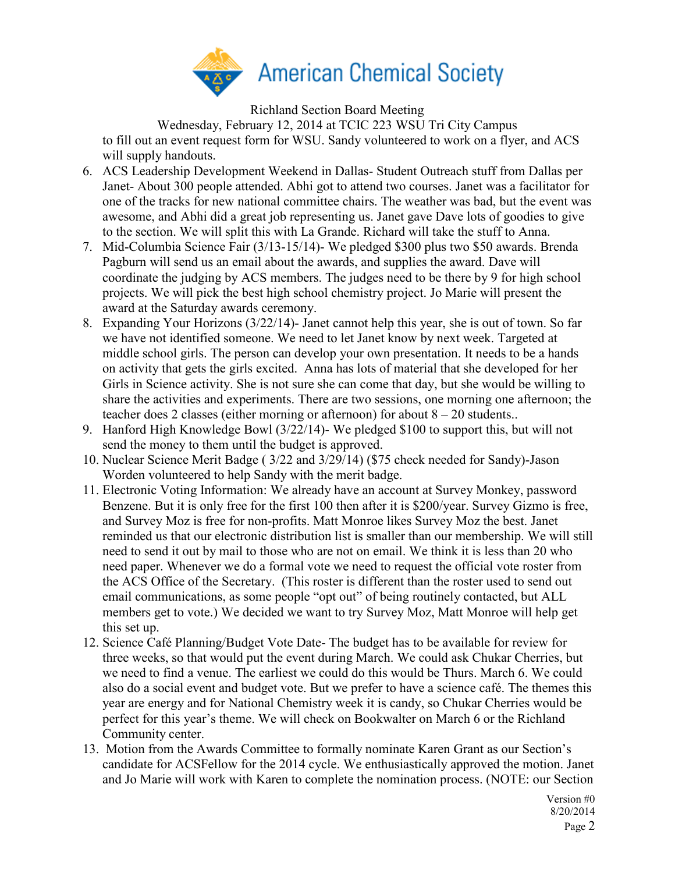

Richland Section Board Meeting

Wednesday, February 12, 2014 at TCIC 223 WSU Tri City Campus to fill out an event request form for WSU. Sandy volunteered to work on a flyer, and ACS will supply handouts.

- 6. ACS Leadership Development Weekend in Dallas- Student Outreach stuff from Dallas per Janet- About 300 people attended. Abhi got to attend two courses. Janet was a facilitator for one of the tracks for new national committee chairs. The weather was bad, but the event was awesome, and Abhi did a great job representing us. Janet gave Dave lots of goodies to give to the section. We will split this with La Grande. Richard will take the stuff to Anna.
- 7. Mid-Columbia Science Fair (3/13-15/14)- We pledged \$300 plus two \$50 awards. Brenda Pagburn will send us an email about the awards, and supplies the award. Dave will coordinate the judging by ACS members. The judges need to be there by 9 for high school projects. We will pick the best high school chemistry project. Jo Marie will present the award at the Saturday awards ceremony.
- 8. Expanding Your Horizons (3/22/14)- Janet cannot help this year, she is out of town. So far we have not identified someone. We need to let Janet know by next week. Targeted at middle school girls. The person can develop your own presentation. It needs to be a hands on activity that gets the girls excited. Anna has lots of material that she developed for her Girls in Science activity. She is not sure she can come that day, but she would be willing to share the activities and experiments. There are two sessions, one morning one afternoon; the teacher does 2 classes (either morning or afternoon) for about  $8 - 20$  students..
- 9. Hanford High Knowledge Bowl (3/22/14)- We pledged \$100 to support this, but will not send the money to them until the budget is approved.
- 10. Nuclear Science Merit Badge ( 3/22 and 3/29/14) (\$75 check needed for Sandy)-Jason Worden volunteered to help Sandy with the merit badge.
- 11. Electronic Voting Information: We already have an account at Survey Monkey, password Benzene. But it is only free for the first 100 then after it is \$200/year. Survey Gizmo is free, and Survey Moz is free for non-profits. Matt Monroe likes Survey Moz the best. Janet reminded us that our electronic distribution list is smaller than our membership. We will still need to send it out by mail to those who are not on email. We think it is less than 20 who need paper. Whenever we do a formal vote we need to request the official vote roster from the ACS Office of the Secretary. (This roster is different than the roster used to send out email communications, as some people "opt out" of being routinely contacted, but ALL members get to vote.) We decided we want to try Survey Moz, Matt Monroe will help get this set up.
- 12. Science Café Planning/Budget Vote Date- The budget has to be available for review for three weeks, so that would put the event during March. We could ask Chukar Cherries, but we need to find a venue. The earliest we could do this would be Thurs. March 6. We could also do a social event and budget vote. But we prefer to have a science café. The themes this year are energy and for National Chemistry week it is candy, so Chukar Cherries would be perfect for this year's theme. We will check on Bookwalter on March 6 or the Richland Community center.
- 13. Motion from the Awards Committee to formally nominate Karen Grant as our Section's candidate for ACSFellow for the 2014 cycle. We enthusiastically approved the motion. Janet and Jo Marie will work with Karen to complete the nomination process. (NOTE: our Section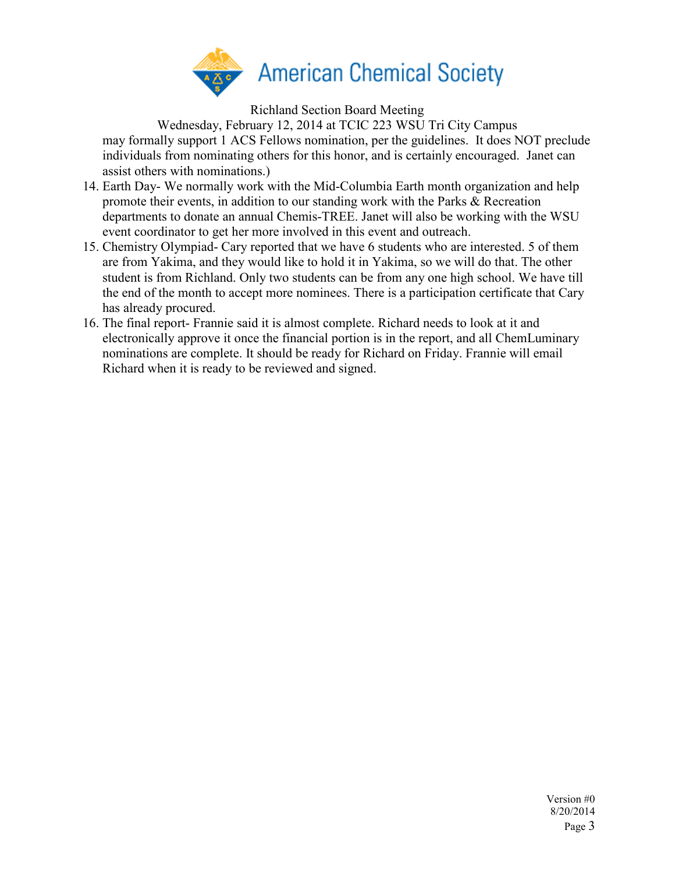

Richland Section Board Meeting

Wednesday, February 12, 2014 at TCIC 223 WSU Tri City Campus may formally support 1 ACS Fellows nomination, per the guidelines. It does NOT preclude individuals from nominating others for this honor, and is certainly encouraged. Janet can assist others with nominations.)

- 14. Earth Day- We normally work with the Mid-Columbia Earth month organization and help promote their events, in addition to our standing work with the Parks & Recreation departments to donate an annual Chemis-TREE. Janet will also be working with the WSU event coordinator to get her more involved in this event and outreach.
- 15. Chemistry Olympiad- Cary reported that we have 6 students who are interested. 5 of them are from Yakima, and they would like to hold it in Yakima, so we will do that. The other student is from Richland. Only two students can be from any one high school. We have till the end of the month to accept more nominees. There is a participation certificate that Cary has already procured.
- 16. The final report- Frannie said it is almost complete. Richard needs to look at it and electronically approve it once the financial portion is in the report, and all ChemLuminary nominations are complete. It should be ready for Richard on Friday. Frannie will email Richard when it is ready to be reviewed and signed.